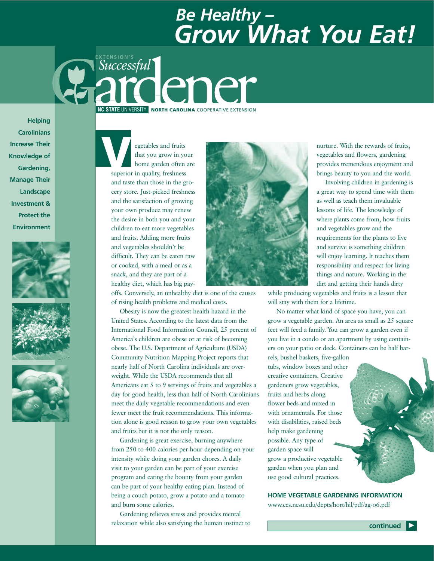# *Be Healthy – Grow What You Eat!*

*Successful* **EXTENSION'S** dener **NC STATE** UNIVERSITY **NORTH CAROLINA** COOPERATIVE EXTENSION

**Helping Carolinians Increase Their Knowledge of Gardening, Manage Their Landscape Investment & Protect the Environment** 







egetables and fruits that you grow in your home garden often are superior in quality, freshness and taste than those in the grocery store. Just-picked freshness and the satisfaction of growing your own produce may renew the desire in both you and your children to eat more vegetables and fruits. Adding more fruits and vegetables shouldn't be difficult. They can be eaten raw or cooked, with a meal or as a snack, and they are part of a healthy diet, which has big pay-**V**<br>superior

offs. Conversely, an unhealthy diet is one of the causes of rising health problems and medical costs.

Obesity is now the greatest health hazard in the United States. According to the latest data from the International Food Information Council, 25 percent of America's children are obese or at risk of becoming obese. The U.S. Department of Agriculture (USDA) Community Nutrition Mapping Project reports that nearly half of North Carolina individuals are overweight. While the USDA recommends that all Americans eat 5 to 9 servings of fruits and vegetables a day for good health, less than half of North Carolinians meet the daily vegetable recommendations and even fewer meet the fruit recommendations. This information alone is good reason to grow your own vegetables and fruits but it is not the only reason.

Gardening is great exercise, burning anywhere from 250 to 400 calories per hour depending on your intensity while doing your garden chores. A daily visit to your garden can be part of your exercise program and eating the bounty from your garden can be part of your healthy eating plan. Instead of being a couch potato, grow a potato and a tomato and burn some calories.

Gardening relieves stress and provides mental relaxation while also satisfying the human instinct to



nurture. With the rewards of fruits, vegetables and flowers, gardening provides tremendous enjoyment and brings beauty to you and the world.

Involving children in gardening is a great way to spend time with them as well as teach them invaluable lessons of life. The knowledge of where plants come from, how fruits and vegetables grow and the requirements for the plants to live and survive is something children will enjoy learning. It teaches them responsibility and respect for living things and nature. Working in the dirt and getting their hands dirty

while producing vegetables and fruits is a lesson that will stay with them for a lifetime.

No matter what kind of space you have, you can grow a vegetable garden. An area as small as 25 square feet will feed a family. You can grow a garden even if you live in a condo or an apartment by using containers on your patio or deck. Containers can be half bar-

rels, bushel baskets, five-gallon tubs, window boxes and other creative containers. Creative gardeners grow vegetables, fruits and herbs along flower beds and mixed in with ornamentals. For those with disabilities, raised beds help make gardening possible. Any type of garden space will grow a productive vegetable garden when you plan and use good cultural practices.

**HOME VEGETABLE GARDENING INFORMATION**  www.ces.ncsu.edu/depts/hort/hil/pdf/ag-o6.pdf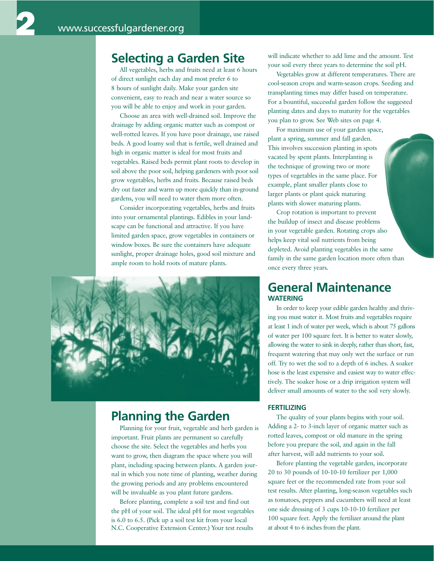2

### **Selecting a Garden Site**

All vegetables, herbs and fruits need at least 6 hours of direct sunlight each day and most prefer 6 to 8 hours of sunlight daily. Make your garden site convenient, easy to reach and near a water source so you will be able to enjoy and work in your garden.

Choose an area with well-drained soil. Improve the drainage by adding organic matter such as compost or well-rotted leaves. If you have poor drainage, use raised beds. A good loamy soil that is fertile, well drained and high in organic matter is ideal for most fruits and vegetables. Raised beds permit plant roots to develop in soil above the poor soil, helping gardeners with poor soil grow vegetables, herbs and fruits. Because raised beds dry out faster and warm up more quickly than in-ground gardens, you will need to water them more often.

Consider incorporating vegetables, herbs and fruits into your ornamental plantings. Edibles in your landscape can be functional and attractive. If you have limited garden space, grow vegetables in containers or window boxes. Be sure the containers have adequate sunlight, proper drainage holes, good soil mixture and ample room to hold roots of mature plants.



### **Planning the Garden**

Planning for your fruit, vegetable and herb garden is important. Fruit plants are permanent so carefully choose the site. Select the vegetables and herbs you want to grow, then diagram the space where you will plant, including spacing between plants. A garden journal in which you note time of planting, weather during the growing periods and any problems encountered will be invaluable as you plant future gardens.

Before planting, complete a soil test and find out the pH of your soil. The ideal pH for most vegetables is 6.0 to 6.5. (Pick up a soil test kit from your local N.C. Cooperative Extension Center.) Your test results

will indicate whether to add lime and the amount. Test your soil every three years to determine the soil pH.

Vegetables grow at different temperatures. There are cool-season crops and warm-season crops. Seeding and transplanting times may differ based on temperature. For a bountiful, successful garden follow the suggested planting dates and days to maturity for the vegetables you plan to grow. See Web sites on page 4.

For maximum use of your garden space, plant a spring, summer and fall garden. This involves succession planting in spots vacated by spent plants. Interplanting is the technique of growing two or more types of vegetables in the same place. For example, plant smaller plants close to larger plants or plant quick maturing plants with slower maturing plants.

Crop rotation is important to prevent the buildup of insect and disease problems in your vegetable garden. Rotating crops also helps keep vital soil nutrients from being depleted. Avoid planting vegetables in the same family in the same garden location more often than once every three years.

### **General Maintenance WATERING**

In order to keep your edible garden healthy and thriving you must water it. Most fruits and vegetables require at least 1 inch of water per week, which is about 75 gallons of water per 100 square feet. It is better to water slowly, allowing the water to sink in deeply, rather than short, fast, frequent watering that may only wet the surface or run off. Try to wet the soil to a depth of 6 inches. A soaker hose is the least expensive and easiest way to water effectively. The soaker hose or a drip irrigation system will deliver small amounts of water to the soil very slowly.

#### **FERTILIZING**

The quality of your plants begins with your soil. Adding a 2- to 3-inch layer of organic matter such as rotted leaves, compost or old manure in the spring before you prepare the soil, and again in the fall after harvest, will add nutrients to your soil.

Before planting the vegetable garden, incorporate 20 to 30 pounds of 10-10-10 fertilizer per 1,000 square feet or the recommended rate from your soil test results. After planting, long-season vegetables such as tomatoes, peppers and cucumbers will need at least one side dressing of 3 cups 10-10-10 fertilizer per 100 square feet. Apply the fertilizer around the plant at about 4 to 6 inches from the plant.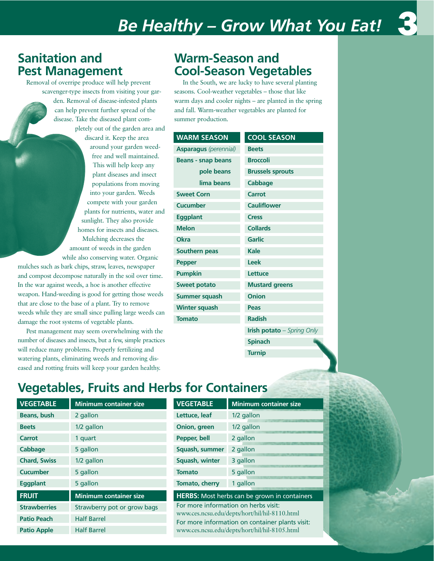## *Be Healthy – Grow What You Eat!*



### **Sanitation and Pest Management**

Removal of overripe produce will help prevent

scavenger-type insects from visiting your garden. Removal of disease-infested plants can help prevent further spread of the disease. Take the diseased plant completely out of the garden area and discard it. Keep the area around your garden weedfree and well maintained. This will help keep any plant diseases and insect populations from moving into your garden. Weeds compete with your garden plants for nutrients, water and sunlight. They also provide homes for insects and diseases. Mulching decreases the amount of weeds in the garden while also conserving water. Organic

mulches such as bark chips, straw, leaves, newspaper and compost decompose naturally in the soil over time. In the war against weeds, a hoe is another effective weapon. Hand-weeding is good for getting those weeds that are close to the base of a plant. Try to remove weeds while they are small since pulling large weeds can damage the root systems of vegetable plants.

Pest management may seem overwhelming with the number of diseases and insects, but a few, simple practices will reduce many problems. Properly fertilizing and watering plants, eliminating weeds and removing diseased and rotting fruits will keep your garden healthy.

### **Warm-Season and Cool-Season Vegetables**

In the South, we are lucky to have several planting seasons. Cool-weather vegetables – those that like warm days and cooler nights – are planted in the spring and fall. Warm-weather vegetables are planted for summer production.

| <b>WARM SEASON</b>           | <b>COOL SEASON</b>                |  |
|------------------------------|-----------------------------------|--|
| <b>Asparagus</b> (perennial) | <b>Beets</b>                      |  |
| <b>Beans - snap beans</b>    | <b>Broccoli</b>                   |  |
| pole beans                   | <b>Brussels sprouts</b>           |  |
| lima beans                   | <b>Cabbage</b>                    |  |
| <b>Sweet Corn</b>            | Carrot                            |  |
| <b>Cucumber</b>              | <b>Cauliflower</b>                |  |
| <b>Eggplant</b>              | <b>Cress</b>                      |  |
| <b>Melon</b>                 | <b>Collards</b>                   |  |
| <b>Okra</b>                  | <b>Garlic</b>                     |  |
| <b>Southern peas</b>         | Kale                              |  |
| <b>Pepper</b>                | <b>Leek</b>                       |  |
| <b>Pumpkin</b>               | Lettuce                           |  |
| <b>Sweet potato</b>          | <b>Mustard greens</b>             |  |
| <b>Summer squash</b>         | Onion                             |  |
| <b>Winter squash</b>         | Peas                              |  |
| <b>Tomato</b>                | <b>Radish</b>                     |  |
|                              | <b>Irish potato</b> - Spring Only |  |
|                              | <b>Spinach</b>                    |  |

**Turnip**

**Vegetables, Fruits and Herbs for Containers** 

| <b>VEGETABLE</b>    | <b>Minimum container size</b> |  |
|---------------------|-------------------------------|--|
| <b>Beans, bush</b>  | 2 gallon                      |  |
| <b>Beets</b>        | 1/2 gallon                    |  |
| Carrot              | 1 quart                       |  |
| Cabbage             | 5 gallon                      |  |
| <b>Chard, Swiss</b> | 1/2 gallon                    |  |
| <b>Cucumber</b>     | 5 gallon                      |  |
| <b>Eggplant</b>     | 5 gallon                      |  |
| <b>FRUIT</b>        | <b>Minimum container size</b> |  |
| <b>Strawberries</b> | Strawberry pot or grow bags   |  |
| <b>Patio Peach</b>  | <b>Half Barrel</b>            |  |
| <b>Patio Apple</b>  | <b>Half Barrel</b>            |  |

| <b>VEGETABLE</b>                                                                                 | <b>Minimum container size</b> |  |  |
|--------------------------------------------------------------------------------------------------|-------------------------------|--|--|
| Lettuce, leaf                                                                                    | 1/2 gallon                    |  |  |
| Onion, green                                                                                     | 1/2 gallon                    |  |  |
| Pepper, bell                                                                                     | 2 gallon                      |  |  |
| Squash, summer                                                                                   | 2 gallon                      |  |  |
| Squash, winter                                                                                   | 3 gallon                      |  |  |
| <b>Tomato</b>                                                                                    | 5 gallon                      |  |  |
| Tomato, cherry                                                                                   | 1 gallon                      |  |  |
| <b>HERBS:</b> Most herbs can be grown in containers                                              |                               |  |  |
| For more information on herbs visit:<br>www.ces.ncsu.edu/depts/hort/hil/hil-8110.html            |                               |  |  |
| For more information on container plants visit:<br>www.ces.ncsu.edu/depts/hort/hil/hil-8105.html |                               |  |  |